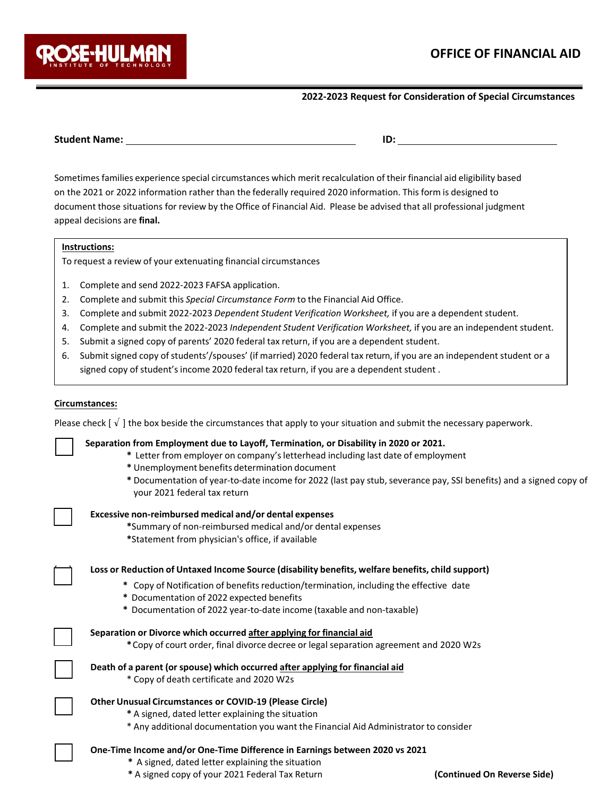

### **2022-2023 Request for Consideration of Special Circumstances**

Sometimes families experience special circumstances which merit recalculation of their financial aid eligibility based on the 2021 or 2022 information rather than the federally required 2020 information. This form is designed to document those situations for review by the Office of Financial Aid. Please be advised that all professional judgment appeal decisions are **final.** 

#### **Instructions:**

To request a review of your extenuating financial circumstances

- 1. Complete and send 2022-2023 FAFSA application.
- 2. Complete and submit this *Special Circumstance Form* to the Financial Aid Office.
- 3. Complete and submit 2022-2023 *Dependent Student Verification Worksheet,* if you are a dependent student.
- 4. Complete and submit the 2022-2023 *Independent Student Verification Worksheet,* if you are an independent student.
- 5. Submit a signed copy of parents' 2020 federal tax return, if you are a dependent student.
- 6. Submit signed copy ofstudents'/spouses' (if married) 2020 federal tax return, if you are an independent student or a signed copy of student's income 2020 federal tax return, if you are a dependent student .

#### **Circumstances:**

Please check  $[\sqrt{1}$  the box beside the circumstances that apply to your situation and submit the necessary paperwork.

#### [ ] **Separation from Employment due to Layoff, Termination, or Disability in 2020 or 2021.**

- **\*** Letter from employer on company'sletterhead including last date of employment
- **\*** Unemployment benefits determination document
- **\*** Documentation of year-to-date income for 2022 (last pay stub, severance pay, SSI benefits) and a signed copy of your 2021 federal tax return

#### [ ] **Excessive non-reimbursed medical and/or dental expenses**

**\***Summary of non-reimbursed medical and/or dental expenses

**\***Statement from physician's office, if available

[ ] **Loss or Reduction of Untaxed Income Source (disability benefits, welfare benefits, child support)**

- \* Copy of Notification of benefits reduction/termination, including the effective date
- **\*** Documentation of 2022 expected benefits
- **\*** Documentation of 2022 year-to-date income (taxable and non-taxable)

| Separation or Divorce which occurred after applying for financial aid |
|-----------------------------------------------------------------------|
|                                                                       |

**\***Copy of court order, final divorce decree or legal separation agreement and 2020 W2s

|  | Death of a parent (or spouse) which occurred after applying for financial aid |
|--|-------------------------------------------------------------------------------|
|--|-------------------------------------------------------------------------------|

\* Copy of death certificate and 2020 W2s

# [ ] **Other Unusual Circumstances or COVID-19 (Please Circle)**

- **\*** A signed, dated letter explaining the situation
- \* Any additional documentation you want the Financial Aid Administrator to consider

#### [ ] **One-Time Income and/or One-Time Difference in Earnings between 2020 vs 2021**

- **\*** A signed, dated letter explaining the situation
- **\*** A signed copy of your 2021 Federal Tax Return **(Continued On Reverse Side)**